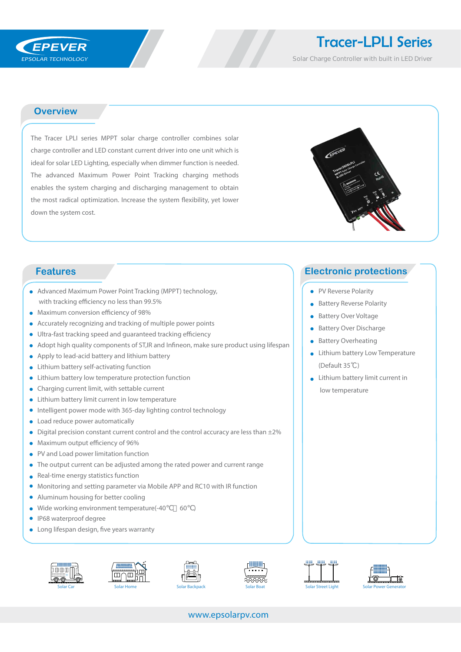## Tracer-LPLI Series

Solar Charge Controller with built in LED Driver

### **Overview**

The Tracer LPLI series MPPT solar charge controller combines solar charge controller and LED constant current driver into one unit which is ideal for solar LED Lighting, especially when dimmer function is needed. The advanced Maximum Power Point Tracking charging methods enables the system charging and discharging management to obtain the most radical optimization. Increase the system flexibility, yet lower down the system cost.



- Advanced Maximum Power Point Tracking (MPPT) technology, with tracking efficiency no less than 99.5%
- $\bullet$  Maximum conversion efficiency of 98%
- Accurately recognizing and tracking of multiple power points
- Ultra-fast tracking speed and guaranteed tracking efficiency
- Adopt high quality components of ST, IR and Infineon, make sure product using lifespan
- Apply to lead-acid battery and lithium battery
- **.** Lithium battery self-activating function
- Lithium battery low temperature protection function
- Charging current limit, with settable current  $\bullet$
- Lithium battery limit current in low temperature
- Intelligent power mode with 365-day lighting control technology  $\bullet$
- Load reduce power automatically
- $\bullet$  Digital precision constant current control and the control accuracy are less than  $\pm 2\%$
- Maximum output efficiency of 96%
- PV and Load power limitation function
- The output current can be adjusted among the rated power and current range
- Real-time energy statistics function  $\blacksquare$
- Monitoring and setting parameter via Mobile APP and RC10 with IR function
- Aluminum housing for better cooling  $\bullet$
- Wide working environment temperature(-40 60 )  $\bullet$
- IP68 waterproof degree  $\bullet$
- $\bullet$  Long lifespan design, five years warranty













www.epsolarpv.com

## **Features Electronic protections**

- PV Reverse Polarity
- **Battery Reverse Polarity**
- **Battery Over Voltage**
- **•** Battery Over Discharge
- Battery Overheating  $\bullet$
- **.** Lithium battery Low Temperature (Default 35℃)
- **Lithium battery limit current in** low temperature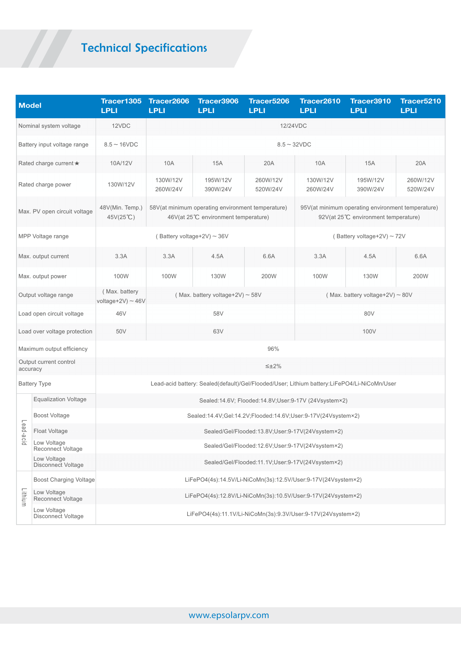# Technical Specifications

| <b>Model</b>                       |                                   | Tracer1305<br><b>LPLI</b>                                                                   | Tracer2606<br><b>LPLI</b>                                     | Tracer3906<br><b>LPLI</b>                                                                 | Tracer5206<br><b>LPLI</b> | Tracer2610<br><b>LPLI</b>                                                                 | Tracer3910<br><b>LPLI</b> | Tracer5210<br><b>LPLI</b> |  |  |  |
|------------------------------------|-----------------------------------|---------------------------------------------------------------------------------------------|---------------------------------------------------------------|-------------------------------------------------------------------------------------------|---------------------------|-------------------------------------------------------------------------------------------|---------------------------|---------------------------|--|--|--|
| Nominal system voltage             |                                   | 12VDC                                                                                       | 12/24VDC                                                      |                                                                                           |                           |                                                                                           |                           |                           |  |  |  |
| Battery input voltage range        |                                   | $8.5 - 16$ VDC                                                                              | $8.5 - 32VDC$                                                 |                                                                                           |                           |                                                                                           |                           |                           |  |  |  |
| Rated charge current ★             |                                   | 10A/12V                                                                                     | 10A                                                           | 15A                                                                                       | 20A                       | 10A                                                                                       | 15A                       | 20A                       |  |  |  |
| Rated charge power                 |                                   | 130W/12V                                                                                    | 130W/12V<br>260W/24V                                          | 195W/12V<br>390W/24V                                                                      | 260W/12V<br>520W/24V      | 130W/12V<br>260W/24V                                                                      | 195W/12V<br>390W/24V      | 260W/12V<br>520W/24V      |  |  |  |
| Max. PV open circuit voltage       |                                   | 48V(Min. Temp.)<br>45 $V(25^{\circ}\text{C})$                                               |                                                               | 58V(at minimum operating environment temperature)<br>46V(at 25°C environment temperature) |                           | 95V(at minimum operating environment temperature)<br>92V(at 25°C environment temperature) |                           |                           |  |  |  |
| MPP Voltage range                  |                                   |                                                                                             | (Battery voltage+2V) $\sim$ 36V                               |                                                                                           |                           | (Battery voltage+2V) ~ 72V                                                                |                           |                           |  |  |  |
| Max. output current                |                                   | 3.3A                                                                                        | 3.3A                                                          | 4.5A                                                                                      | 6.6A                      | 3.3A                                                                                      | 4.5A                      | 6.6A                      |  |  |  |
| Max. output power                  |                                   | 100W                                                                                        | 100W                                                          | 130W                                                                                      | 200W                      | 100W                                                                                      | 130W                      | 200W                      |  |  |  |
| Output voltage range               |                                   | (Max. battery<br>voltage+2V) $\sim$ 46V                                                     | (Max. battery voltage+2V) $\sim$ 58V                          |                                                                                           |                           | (Max. battery voltage+2V) $\sim$ 80V                                                      |                           |                           |  |  |  |
| Load open circuit voltage          |                                   | 46V                                                                                         | 58V                                                           |                                                                                           |                           | 80V                                                                                       |                           |                           |  |  |  |
| Load over voltage protection       |                                   | 50V                                                                                         | 63V                                                           |                                                                                           |                           | 100V                                                                                      |                           |                           |  |  |  |
| Maximum output efficiency          |                                   | 96%                                                                                         |                                                               |                                                                                           |                           |                                                                                           |                           |                           |  |  |  |
| Output current control<br>accuracy |                                   | $\leq \pm 2\%$                                                                              |                                                               |                                                                                           |                           |                                                                                           |                           |                           |  |  |  |
| <b>Battery Type</b>                |                                   | Lead-acid battery: Sealed(default)/Gel/Flooded/User; Lithium battery:LiFePO4/Li-NiCoMn/User |                                                               |                                                                                           |                           |                                                                                           |                           |                           |  |  |  |
|                                    | <b>Equalization Voltage</b>       | Sealed:14.6V; Flooded:14.8V;User:9-17V (24Vsystem×2)                                        |                                                               |                                                                                           |                           |                                                                                           |                           |                           |  |  |  |
|                                    | <b>Boost Voltage</b>              | Sealed:14.4V;Gel:14.2V;Flooded:14.6V;User:9-17V(24Vsystem×2)                                |                                                               |                                                                                           |                           |                                                                                           |                           |                           |  |  |  |
| Lead-a                             | Float Voltage                     | Sealed/Gel/Flooded:13.8V;User:9-17V(24Vsystem×2)                                            |                                                               |                                                                                           |                           |                                                                                           |                           |                           |  |  |  |
| Ξ.                                 | Low Voltage<br>Reconnect Voltage  | Sealed/Gel/Flooded:12.6V;User:9-17V(24Vsystem×2)                                            |                                                               |                                                                                           |                           |                                                                                           |                           |                           |  |  |  |
|                                    | Low Voltage<br>Disconnect Voltage | Sealed/Gel/Flooded:11.1V;User:9-17V(24Vsystem×2)                                            |                                                               |                                                                                           |                           |                                                                                           |                           |                           |  |  |  |
|                                    | <b>Boost Charging Voltage</b>     |                                                                                             | LiFePO4(4s):14.5V/Li-NiCoMn(3s):12.5V/User:9-17V(24Vsystem×2) |                                                                                           |                           |                                                                                           |                           |                           |  |  |  |
| Lithium                            | Low Voltage<br>Reconnect Voltage  |                                                                                             | LiFePO4(4s):12.8V/Li-NiCoMn(3s):10.5V/User:9-17V(24Vsystem×2) |                                                                                           |                           |                                                                                           |                           |                           |  |  |  |
|                                    | Low Voltage<br>Disconnect Voltage |                                                                                             | LiFePO4(4s):11.1V/Li-NiCoMn(3s):9.3V/User:9-17V(24Vsystem×2)  |                                                                                           |                           |                                                                                           |                           |                           |  |  |  |